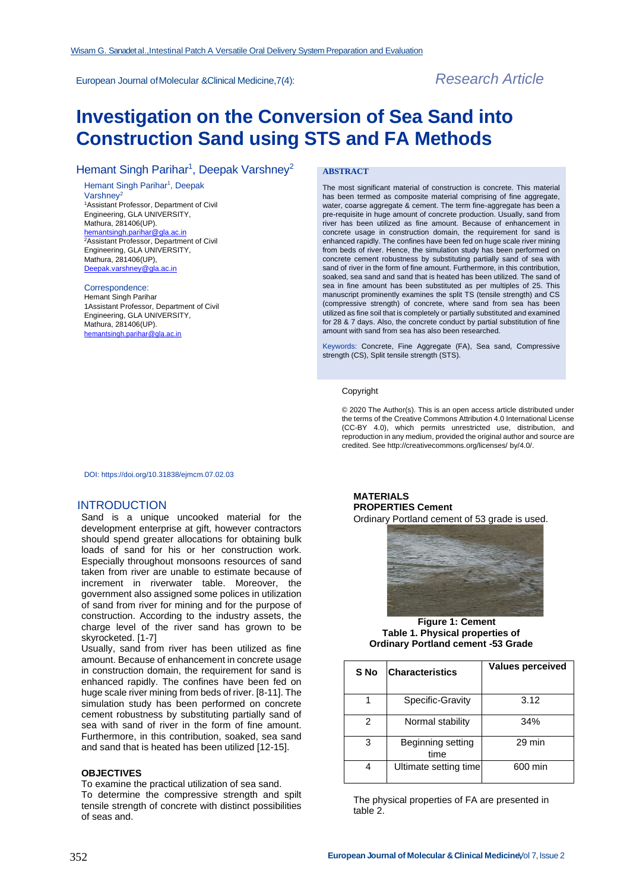European Journal ofMolecular &Clinical Medicine,7(4): *Research Article*

# **Investigation on the Conversion of Sea Sand into Construction Sand using STS and FA Methods**

# Hemant Singh Parihar<sup>1</sup>, Deepak Varshney<sup>2</sup>

Hemant Singh Parihar<sup>1</sup>, Deepak Varshney<sup>2</sup> <sup>1</sup>Assistant Professor, Department of Civil Engineering, GLA UNIVERSITY, Mathura, 281406(UP). [hemantsingh.parihar@gla.ac.in](mailto:hemantsingh.parihar@gla.ac.in) <sup>2</sup>Assistant Professor, Department of Civil Engineering, GLA UNIVERSITY, Mathura, 281406(UP), [Deepak.varshney@gla.ac.in](mailto:Deepak.varshney@gla.ac.in)

#### Correspondence:

Hemant Singh Parihar 1Assistant Professor, Department of Civil Engineering, GLA UNIVERSITY, Mathura, 281406(UP). [hemantsingh.parihar@gla.ac.in](mailto:hemantsingh.parihar@gla.ac.in)

#### **ABSTRACT**

The most significant material of construction is concrete. This material has been termed as composite material comprising of fine aggregate, water, coarse aggregate & cement. The term fine-aggregate has been a pre-requisite in huge amount of concrete production. Usually, sand from river has been utilized as fine amount. Because of enhancement in concrete usage in construction domain, the requirement for sand is enhanced rapidly. The confines have been fed on huge scale river mining from beds of river. Hence, the simulation study has been performed on concrete cement robustness by substituting partially sand of sea with sand of river in the form of fine amount. Furthermore, in this contribution, soaked, sea sand and sand that is heated has been utilized. The sand of sea in fine amount has been substituted as per multiples of 25. This manuscript prominently examines the split TS (tensile strength) and CS (compressive strength) of concrete, where sand from sea has been utilized as fine soil that is completely or partially substituted and examined for 28 & 7 days. Also, the concrete conduct by partial substitution of fine amount with sand from sea has also been researched.

Keywords: Concrete, Fine Aggregate (FA), Sea sand, Compressive strength (CS), Split tensile strength (STS).

#### Copyright

© 2020 The Author(s). This is an open access article distributed under the terms of the Creative Commons Attribution 4.0 International License (CC-BY 4.0), which permits unrestricted use, distribution, and reproduction in any medium, provided the original author and source are credited. Se[e http://creativecommons.org/licenses/ b](http://creativecommons.org/licenses/)y/4.0/.

DOI: https://doi.org/10.31838/ejmcm.07.02.03

# INTRODUCTION

Sand is a unique uncooked material for the development enterprise at gift, however contractors should spend greater allocations for obtaining bulk loads of sand for his or her construction work. Especially throughout monsoons resources of sand taken from river are unable to estimate because of increment in riverwater table. Moreover, the government also assigned some polices in utilization of sand from river for mining and for the purpose of construction. According to the industry assets, the charge level of the river sand has grown to be skyrocketed. [1-7]

Usually, sand from river has been utilized as fine amount. Because of enhancement in concrete usage in construction domain, the requirement for sand is enhanced rapidly. The confines have been fed on huge scale river mining from beds of river. [8-11]. The simulation study has been performed on concrete cement robustness by substituting partially sand of sea with sand of river in the form of fine amount. Furthermore, in this contribution, soaked, sea sand and sand that is heated has been utilized [12-15].

# **OBJECTIVES**

To examine the practical utilization of sea sand. To determine the compressive strength and spilt tensile strength of concrete with distinct possibilities of seas and.

# **MATERIALS PROPERTIES Cement**

Ordinary Portland cement of 53 grade is used.



#### **Figure 1: Cement Table 1. Physical properties of Ordinary Portland cement -53 Grade**

| S No | <b>Characteristics</b>    | <b>Values perceived</b> |
|------|---------------------------|-------------------------|
|      | Specific-Gravity          | 3.12                    |
| 2    | Normal stability          | 34%                     |
| 3    | Beginning setting<br>time | 29 min                  |
| 4    | Ultimate setting time     | 600 min                 |

The physical properties of FA are presented in table 2.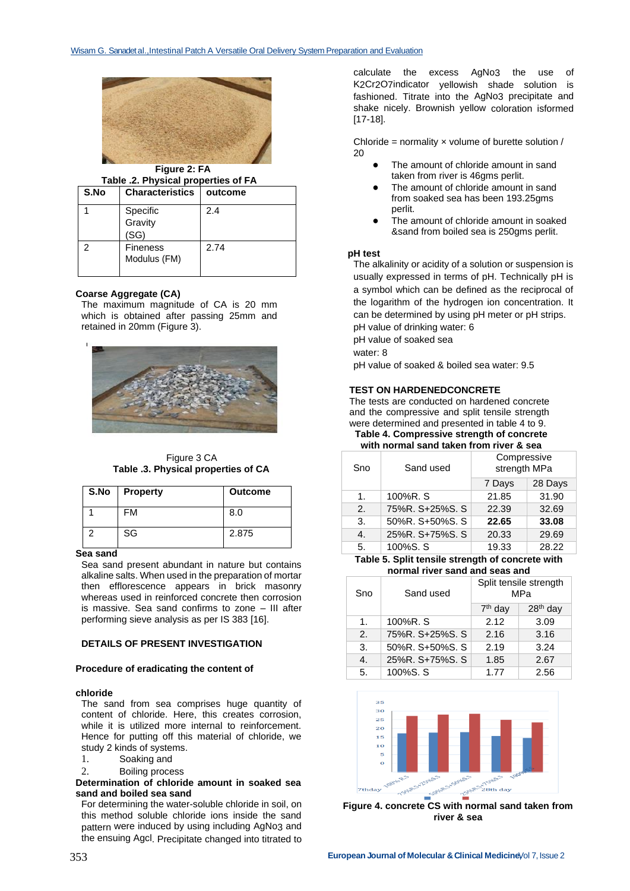

**Figure 2: FA**

| S.No | <b>Characteristics</b>          | outcome |
|------|---------------------------------|---------|
|      | Specific<br>Gravity<br>(SG)     | 2.4     |
| 2    | <b>Fineness</b><br>Modulus (FM) | 2.74    |

#### **Coarse Aggregate (CA)**

The maximum magnitude of CA is 20 mm which is obtained after passing 25mm and retained in 20mm (Figure 3).



Figure 3 CA **Table .3. Physical properties of CA**

| S.No | <b>Property</b> | <b>Outcome</b> |
|------|-----------------|----------------|
|      | <b>FM</b>       | 8.0            |
|      | SG              | 2.875          |

# **Sea sand**

Sea sand present abundant in nature but contains alkaline salts. When used in the preparation of mortar then efflorescence appears in brick masonry whereas used in reinforced concrete then corrosion is massive. Sea sand confirms to zone – III after performing sieve analysis as per IS 383 [16].

#### **DETAILS OF PRESENT INVESTIGATION**

#### **Procedure of eradicating the content of**

#### **chloride**

The sand from sea comprises huge quantity of content of chloride. Here, this creates corrosion, while it is utilized more internal to reinforcement. Hence for putting off this material of chloride, we study 2 kinds of systems.

- 1. Soaking and
- 2. Boiling process

#### **Determination of chloride amount in soaked sea sand and boiled sea sand**

For determining the water-soluble chloride in soil, on this method soluble chloride ions inside the sand pattern were induced by using including AgNo3 and the ensuing Agcl. Precipitate changed into titrated to

calculate the excess AgNo3 the use of K2Cr2O7indicator yellowish shade solution is fashioned. Titrate into the AgNo3 precipitate and shake nicely. Brownish yellow coloration isformed [17-18].

Chloride = normality  $x$  volume of burette solution / 20

- The amount of chloride amount in sand taken from river is 46gms perlit.
- The amount of chloride amount in sand from soaked sea has been 193.25gms perlit.
- The amount of chloride amount in soaked &sand from boiled sea is 250gms perlit.

# **pH test**

The alkalinity or acidity of a solution or suspension is usually expressed in terms of pH. Technically pH is a symbol which can be defined as the reciprocal of the logarithm of the hydrogen ion concentration. It can be determined by using pH meter or pH strips. pH value of drinking water: 6

pH value of soaked sea

water: 8

pH value of soaked & boiled sea water: 9.5

### **TEST ON HARDENEDCONCRETE**

The tests are conducted on hardened concrete and the compressive and split tensile strength were determined and presented in table 4 to 9. **Table 4. Compressive strength of concrete** 

**with normal sand taken from river & sea**

| Sno | Sand used       | Compressive<br>strength MPa |         |
|-----|-----------------|-----------------------------|---------|
|     |                 | 7 Days                      | 28 Days |
| 1.  | 100%R. S        | 21.85                       | 31.90   |
| 2.  | 75%R. S+25%S. S | 22.39                       | 32.69   |
| 3.  | 50%R. S+50%S. S | 22.65                       | 33.08   |
| 4.  | 25%R. S+75%S. S | 20.33                       | 29.69   |
| 5.  | 100%S. S        | 19.33                       | 28.22   |
|     |                 |                             |         |

#### **Table 5. Split tensile strength of concrete with normal river sand and seas and**

| Sno            | Sand used       | Split tensile strength<br>MPa |            |
|----------------|-----------------|-------------------------------|------------|
|                |                 | $7th$ day                     | $28th$ day |
| 1.             | 100%R.S         | 2.12                          | 3.09       |
| 2.             | 75%R. S+25%S. S | 2.16                          | 3.16       |
| 3.             | 50%R. S+50%S. S | 2.19                          | 3.24       |
| $\mathbf{4}$ . | 25%R. S+75%S. S | 1.85                          | 2.67       |
| 5.             | 100%S.S         | 1.77                          | 2.56       |



**Figure 4. concrete CS with normal sand taken from river & sea**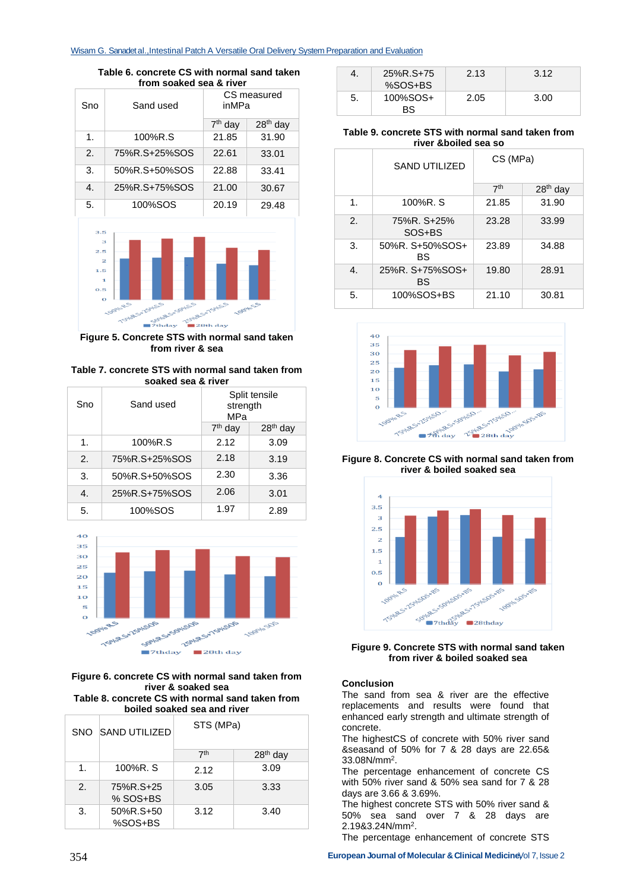#### Wisam G. Sanadet al., Intestinal Patch A Versatile Oral Delivery System Preparation and Evaluation

**Table 6. concrete CS with normal sand taken from soaked sea & river**

| Sno                   | Sand used     | CS measured<br>inMPa |            |
|-----------------------|---------------|----------------------|------------|
|                       |               | $7th$ day            | $28th$ day |
| 1.                    | 100%R.S       | 21.85                | 31.90      |
| $\mathcal{P}_{\cdot}$ | 75%R.S+25%SOS | 22.61                | 33.01      |
| 3.                    | 50%R.S+50%SOS | 22.88                | 33.41      |
| $\mathbf{4}$          | 25%R.S+75%SOS | 21.00                | 30.67      |
| 5.                    | 100%SOS       | 20.19                | 29.48      |



**Figure 5. Concrete STS with normal sand taken from river & sea**

**Table 7. concrete STS with normal sand taken from soaked sea & river**

| Sno                   | Sand used     | Split tensile<br>strength<br>MPa |                      |
|-----------------------|---------------|----------------------------------|----------------------|
|                       |               | $7th$ day                        | 28 <sup>th</sup> day |
| $\mathbf 1$           | 100%R.S       | 2.12                             | 3.09                 |
| $\mathcal{P}_{\cdot}$ | 75%R.S+25%SOS | 2.18                             | 3.19                 |
| 3.                    | 50%R.S+50%SOS | 2.30                             | 3.36                 |
| 4.                    | 25%R.S+75%SOS | 2.06                             | 3.01                 |
| 5.                    | 100%SOS       | 1.97                             | 2.89                 |



**Figure 6. concrete CS with normal sand taken from river & soaked sea Table 8. concrete CS with normal sand taken from boiled soaked sea and river**

|             | SNO SAND UTILIZED       | STS (MPa)       |            |
|-------------|-------------------------|-----------------|------------|
|             |                         | 7 <sup>th</sup> | $28th$ day |
| $\mathbf 1$ | 100%R.S                 | 2.12            | 3.09       |
| 2.          | 75%R.S+25<br>$%$ SOS+BS | 3.05            | 3.33       |
| 3.          | 50%R.S+50<br>%SOS+BS    | 3.12            | 3.40       |

| 4. | 25%R.S+75<br>$%SOS+BS$ | 2.13 | 3.12 |
|----|------------------------|------|------|
| 5. | 100%SOS+<br>BS         | 2.05 | 3.00 |

### **Table 9. concrete STS with normal sand taken from river &boiled sea so**

|    | <b>SAND UTILIZED</b>  | CS (MPa)        |            |
|----|-----------------------|-----------------|------------|
|    |                       | 7 <sup>th</sup> | $28th$ day |
| 1. | 100%R.S               | 21.85           | 31.90      |
| 2. | 75%R. S+25%<br>SOS+BS | 23.28           | 33.99      |
| 3. | 50%R. S+50%SOS+<br>BS | 23.89           | 34.88      |
| 4. | 25%R. S+75%SOS+<br>BS | 19.80           | 28.91      |
| 5. | 100%SOS+BS            | 21.10           | 30.81      |



**Figure 8. Concrete CS with normal sand taken from river & boiled soaked sea**



**Figure 9. Concrete STS with normal sand taken from river & boiled soaked sea**

### **Conclusion**

The sand from sea & river are the effective replacements and results were found that enhanced early strength and ultimate strength of concrete.

The highestCS of concrete with 50% river sand &seasand of 50% for 7 & 28 days are 22.65& 33.08N/mm<sup>2</sup> .

The percentage enhancement of concrete CS with 50% river sand & 50% sea sand for 7 & 28 days are 3.66 & 3.69%.

The highest concrete STS with 50% river sand & 50% sea sand over 7 & 28 days are 2.19&3.24N/mm<sup>2</sup> .

The percentage enhancement of concrete STS